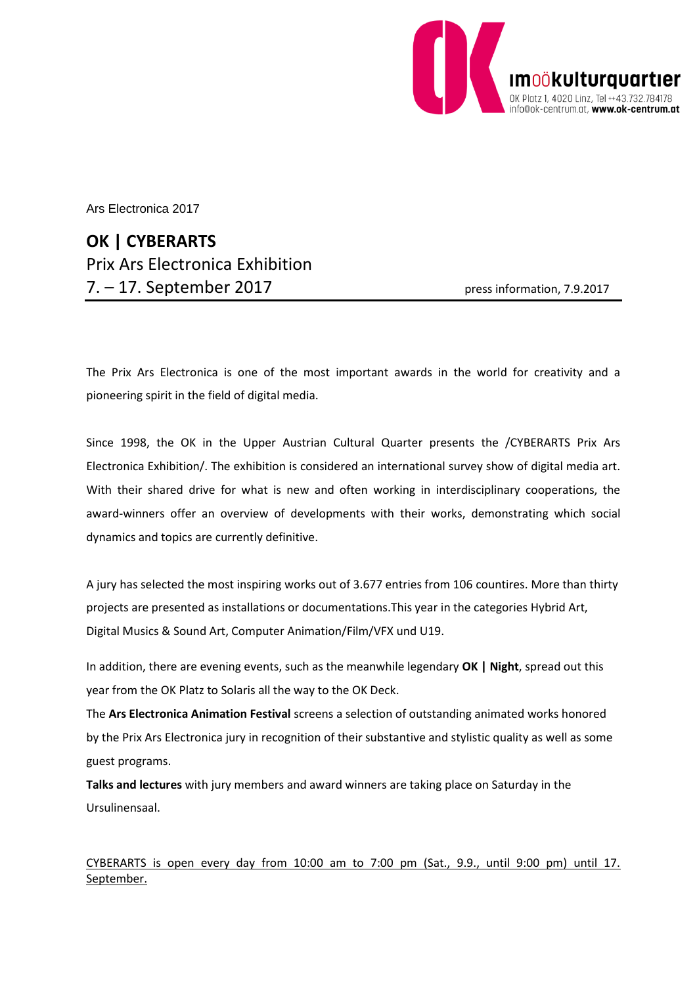

Ars Electronica 2017

**OK | CYBERARTS** Prix Ars Electronica Exhibition 7. – 17. September 2017 press information, 7.9.2017

The Prix Ars Electronica is one of the most important awards in the world for creativity and a pioneering spirit in the field of digital media.

Since 1998, the OK in the Upper Austrian Cultural Quarter presents the /CYBERARTS Prix Ars Electronica Exhibition/. The exhibition is considered an international survey show of digital media art. With their shared drive for what is new and often working in interdisciplinary cooperations, the award-winners offer an overview of developments with their works, demonstrating which social dynamics and topics are currently definitive.

A jury has selected the most inspiring works out of 3.677 entries from 106 countires. More than thirty projects are presented as installations or documentations.This year in the categories Hybrid Art, Digital Musics & Sound Art, Computer Animation/Film/VFX und U19.

In addition, there are evening events, such as the meanwhile legendary **OK | Night**, spread out this year from the OK Platz to Solaris all the way to the OK Deck.

The **Ars Electronica Animation Festival** screens a selection of outstanding animated works honored by the Prix Ars Electronica jury in recognition of their substantive and stylistic quality as well as some guest programs.

**Talks and lectures** with jury members and award winners are taking place on Saturday in the Ursulinensaal.

CYBERARTS is open every day from 10:00 am to 7:00 pm (Sat., 9.9., until 9:00 pm) until 17. September.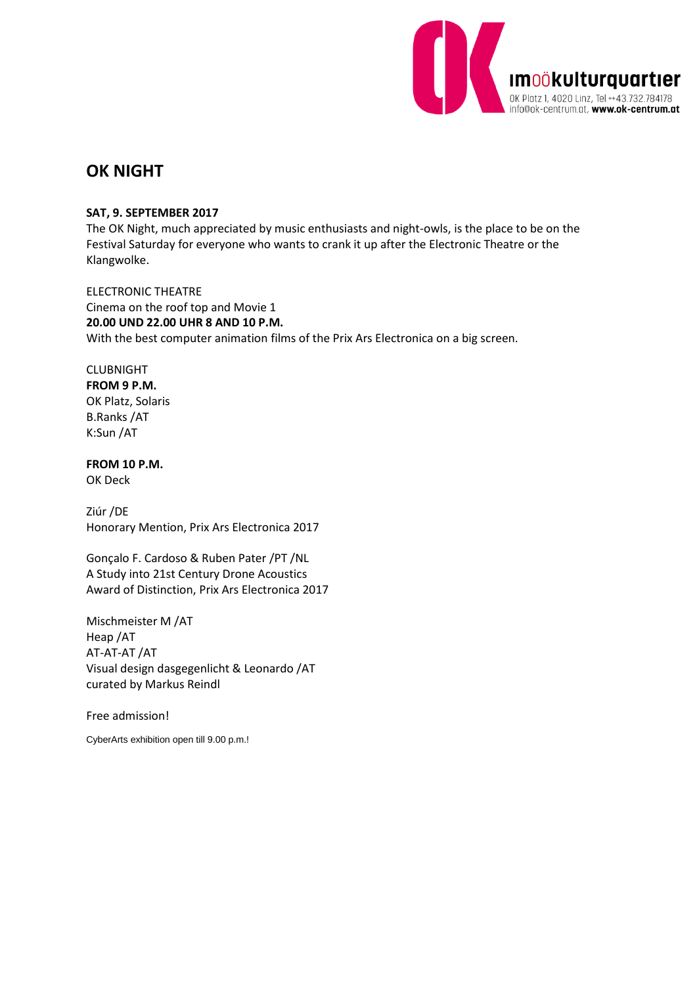

# **OK NIGHT**

### **SAT, 9. SEPTEMBER 2017**

The OK Night, much appreciated by music enthusiasts and night-owls, is the place to be on the Festival Saturday for everyone who wants to crank it up after the Electronic Theatre or the Klangwolke.

### ELECTRONIC THEATRE

Cinema on the roof top and Movie 1 **20.00 UND 22.00 UHR 8 AND 10 P.M.** With the best computer animation films of the Prix Ars Electronica on a big screen.

### CLUBNIGHT

**FROM 9 P.M.** OK Platz, Solaris B.Ranks /AT K:Sun /AT

## **FROM 10 P.M.**

OK Deck

Ziúr /DE Honorary Mention, Prix Ars Electronica 2017

Gonçalo F. Cardoso & Ruben Pater /PT /NL A Study into 21st Century Drone Acoustics Award of Distinction, Prix Ars Electronica 2017

Mischmeister M /AT Heap /AT AT-AT-AT /AT Visual design dasgegenlicht & Leonardo /AT curated by Markus Reindl

Free admission!

CyberArts exhibition open till 9.00 p.m.!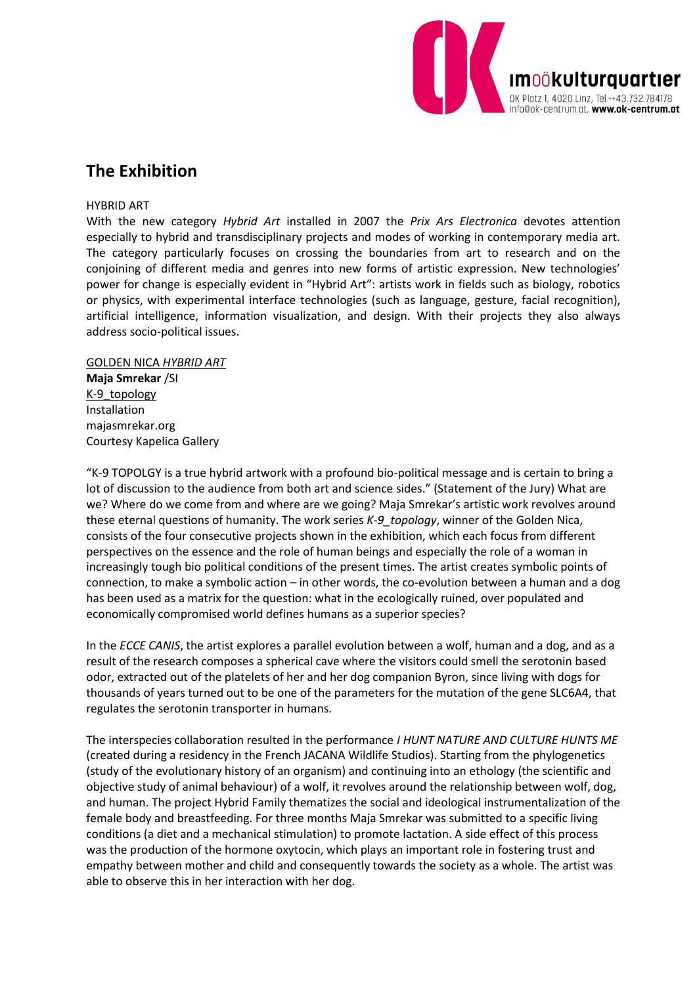

# **The Exhibition**

### HYBRID ART

With the new category *Hybrid Art* installed in 2007 the *Prix Ars Electronica* devotes attention especially to hybrid and transdisciplinary projects and modes of working in contemporary media art. The category particularly focuses on crossing the boundaries from art to research and on the conjoining of different media and genres into new forms of artistic expression. New technologies' power for change is especially evident in "Hybrid Art": artists work in fields such as biology, robotics or physics, with experimental interface technologies (such as language, gesture, facial recognition), artificial intelligence, information visualization, and design. With their projects they also always address socio-political issues.

### GOLDEN NICA *HYBRID ART*

**Maja Smrekar** /SI K-9\_topology Installation majasmrekar.org Courtesy Kapelica Gallery

"K-9 TOPOLGY is a true hybrid artwork with a profound bio-political message and is certain to bring a lot of discussion to the audience from both art and science sides." (Statement of the Jury) What are we? Where do we come from and where are we going? Maja Smrekar's artistic work revolves around these eternal questions of humanity. The work series *K-9\_topology*, winner of the Golden Nica, consists of the four consecutive projects shown in the exhibition, which each focus from different perspectives on the essence and the role of human beings and especially the role of a woman in increasingly tough bio political conditions of the present times. The artist creates symbolic points of connection, to make a symbolic action – in other words, the co-evolution between a human and a dog has been used as a matrix for the question: what in the ecologically ruined, over populated and economically compromised world defines humans as a superior species?

In the *ECCE CANIS*, the artist explores a parallel evolution between a wolf, human and a dog, and as a result of the research composes a spherical cave where the visitors could smell the serotonin based odor, extracted out of the platelets of her and her dog companion Byron, since living with dogs for thousands of years turned out to be one of the parameters for the mutation of the gene SLC6A4, that regulates the serotonin transporter in humans.

The interspecies collaboration resulted in the performance *I HUNT NATURE AND CULTURE HUNTS ME* (created during a residency in the French JACANA Wildlife Studios). Starting from the phylogenetics (study of the evolutionary history of an organism) and continuing into an ethology (the scientific and objective study of animal behaviour) of a wolf, it revolves around the relationship between wolf, dog, and human. The project Hybrid Family thematizes the social and ideological instrumentalization of the female body and breastfeeding. For three months Maja Smrekar was submitted to a specific living conditions (a diet and a mechanical stimulation) to promote lactation. A side effect of this process was the production of the hormone oxytocin, which plays an important role in fostering trust and empathy between mother and child and consequently towards the society as a whole. The artist was able to observe this in her interaction with her dog.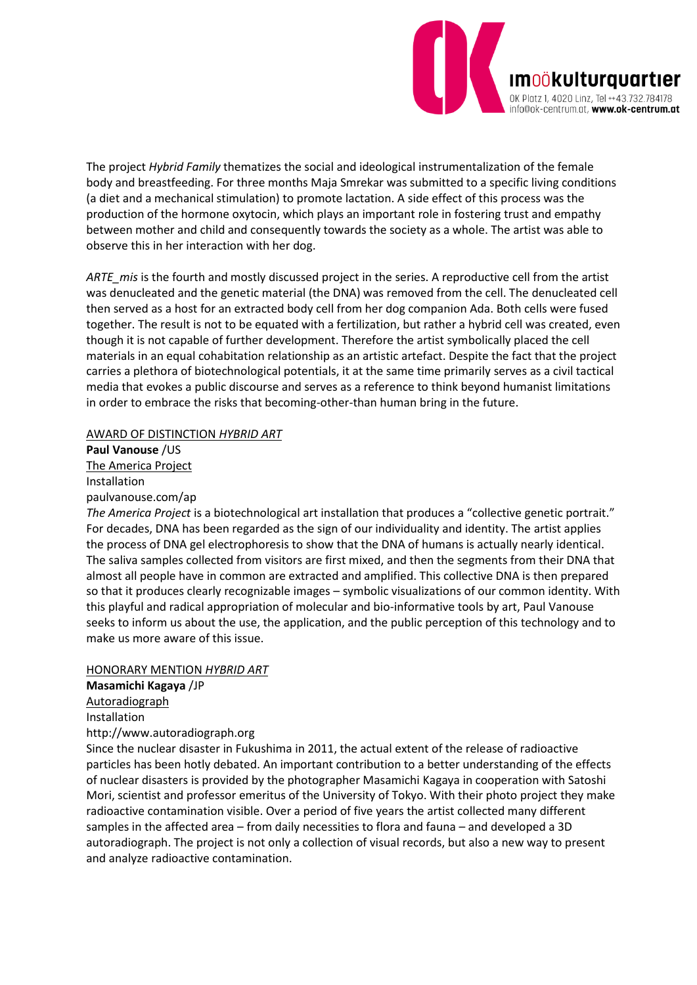

The project *Hybrid Family* thematizes the social and ideological instrumentalization of the female body and breastfeeding. For three months Maja Smrekar was submitted to a specific living conditions (a diet and a mechanical stimulation) to promote lactation. A side effect of this process was the production of the hormone oxytocin, which plays an important role in fostering trust and empathy between mother and child and consequently towards the society as a whole. The artist was able to observe this in her interaction with her dog.

*ARTE\_mis* is the fourth and mostly discussed project in the series. A reproductive cell from the artist was denucleated and the genetic material (the DNA) was removed from the cell. The denucleated cell then served as a host for an extracted body cell from her dog companion Ada. Both cells were fused together. The result is not to be equated with a fertilization, but rather a hybrid cell was created, even though it is not capable of further development. Therefore the artist symbolically placed the cell materials in an equal cohabitation relationship as an artistic artefact. Despite the fact that the project carries a plethora of biotechnological potentials, it at the same time primarily serves as a civil tactical media that evokes a public discourse and serves as a reference to think beyond humanist limitations in order to embrace the risks that becoming-other-than human bring in the future.

AWARD OF DISTINCTION *HYBRID ART*

**Paul Vanouse** /US The America Project Installation paulvanouse.com/ap

*The America Project* is a biotechnological art installation that produces a "collective genetic portrait." For decades, DNA has been regarded as the sign of our individuality and identity. The artist applies the process of DNA gel electrophoresis to show that the DNA of humans is actually nearly identical. The saliva samples collected from visitors are first mixed, and then the segments from their DNA that almost all people have in common are extracted and amplified. This collective DNA is then prepared so that it produces clearly recognizable images – symbolic visualizations of our common identity. With this playful and radical appropriation of molecular and bio-informative tools by art, Paul Vanouse seeks to inform us about the use, the application, and the public perception of this technology and to make us more aware of this issue.

HONORARY MENTION *HYBRID ART* **Masamichi Kagaya** /JP Autoradiograph Installation http://www.autoradiograph.org

Since the nuclear disaster in Fukushima in 2011, the actual extent of the release of radioactive particles has been hotly debated. An important contribution to a better understanding of the effects of nuclear disasters is provided by the photographer Masamichi Kagaya in cooperation with Satoshi Mori, scientist and professor emeritus of the University of Tokyo. With their photo project they make radioactive contamination visible. Over a period of five years the artist collected many different samples in the affected area – from daily necessities to flora and fauna – and developed a 3D autoradiograph. The project is not only a collection of visual records, but also a new way to present and analyze radioactive contamination.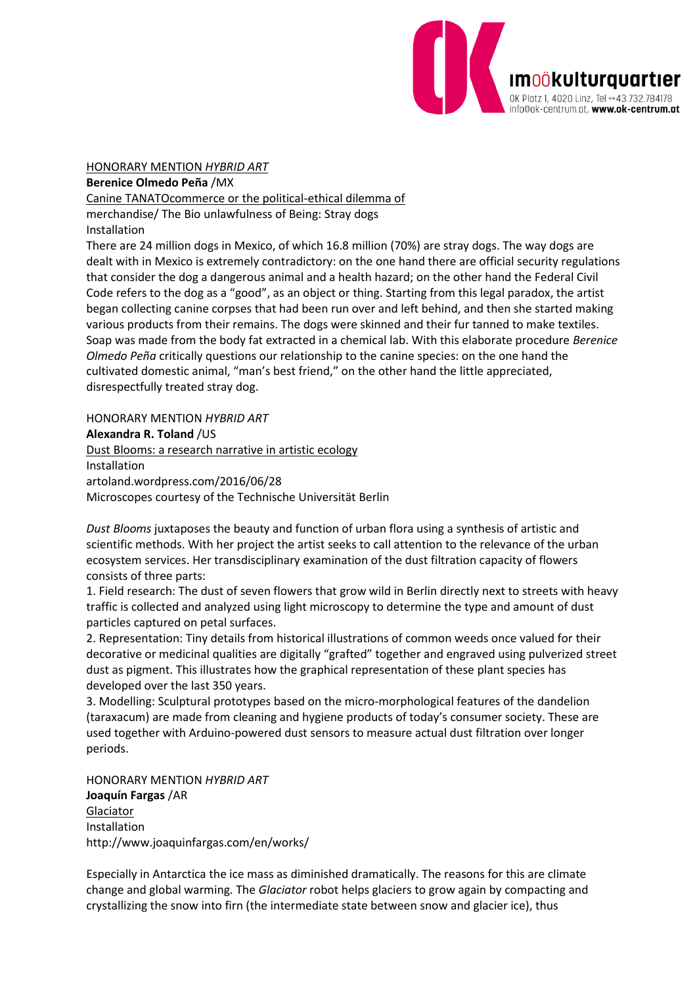

HONORARY MENTION *HYBRID ART*

**Berenice Olmedo Peña** /MX

Canine TANATOcommerce or the political-ethical dilemma of merchandise/ The Bio unlawfulness of Being: Stray dogs Installation

There are 24 million dogs in Mexico, of which 16.8 million (70%) are stray dogs. The way dogs are dealt with in Mexico is extremely contradictory: on the one hand there are official security regulations that consider the dog a dangerous animal and a health hazard; on the other hand the Federal Civil Code refers to the dog as a "good", as an object or thing. Starting from this legal paradox, the artist began collecting canine corpses that had been run over and left behind, and then she started making various products from their remains. The dogs were skinned and their fur tanned to make textiles. Soap was made from the body fat extracted in a chemical lab. With this elaborate procedure *Berenice Olmedo Peña* critically questions our relationship to the canine species: on the one hand the cultivated domestic animal, "man's best friend," on the other hand the little appreciated, disrespectfully treated stray dog.

HONORARY MENTION *HYBRID ART* **Alexandra R. Toland** /US Dust Blooms: a research narrative in artistic ecology Installation artoland.wordpress.com/2016/06/28 Microscopes courtesy of the Technische Universität Berlin

*Dust Blooms* juxtaposes the beauty and function of urban flora using a synthesis of artistic and scientific methods. With her project the artist seeks to call attention to the relevance of the urban ecosystem services. Her transdisciplinary examination of the dust filtration capacity of flowers consists of three parts:

1. Field research: The dust of seven flowers that grow wild in Berlin directly next to streets with heavy traffic is collected and analyzed using light microscopy to determine the type and amount of dust particles captured on petal surfaces.

2. Representation: Tiny details from historical illustrations of common weeds once valued for their decorative or medicinal qualities are digitally "grafted" together and engraved using pulverized street dust as pigment. This illustrates how the graphical representation of these plant species has developed over the last 350 years.

3. Modelling: Sculptural prototypes based on the micro-morphological features of the dandelion (taraxacum) are made from cleaning and hygiene products of today's consumer society. These are used together with Arduino-powered dust sensors to measure actual dust filtration over longer periods.

HONORARY MENTION *HYBRID ART* **Joaquín Fargas** /AR Glaciator Installation <http://www.joaquinfargas.com/en/works/>

Especially in Antarctica the ice mass as diminished dramatically. The reasons for this are climate change and global warming. The *Glaciator* robot helps glaciers to grow again by compacting and crystallizing the snow into firn (the intermediate state between snow and glacier ice), thus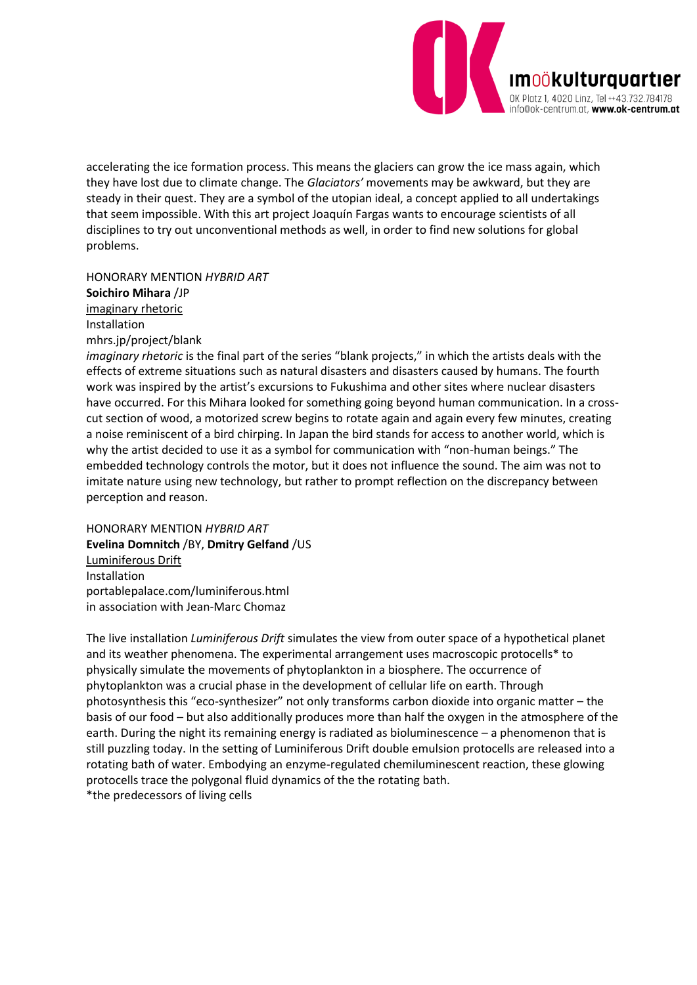

accelerating the ice formation process. This means the glaciers can grow the ice mass again, which they have lost due to climate change. The *Glaciators'* movements may be awkward, but they are steady in their quest. They are a symbol of the utopian ideal, a concept applied to all undertakings that seem impossible. With this art project Joaquín Fargas wants to encourage scientists of all disciplines to try out unconventional methods as well, in order to find new solutions for global problems.

HONORARY MENTION *HYBRID ART* **Soichiro Mihara** /JP

imaginary rhetoric Installation mhrs.jp/project/blank

*imaginary rhetoric* is the final part of the series "blank projects," in which the artists deals with the effects of extreme situations such as natural disasters and disasters caused by humans. The fourth work was inspired by the artist's excursions to Fukushima and other sites where nuclear disasters have occurred. For this Mihara looked for something going beyond human communication. In a crosscut section of wood, a motorized screw begins to rotate again and again every few minutes, creating a noise reminiscent of a bird chirping. In Japan the bird stands for access to another world, which is why the artist decided to use it as a symbol for communication with "non-human beings." The embedded technology controls the motor, but it does not influence the sound. The aim was not to imitate nature using new technology, but rather to prompt reflection on the discrepancy between perception and reason.

HONORARY MENTION *HYBRID ART* **Evelina Domnitch** /BY, **Dmitry Gelfand** /US Luminiferous Drift Installation portablepalace.com/luminiferous.html in association with Jean-Marc Chomaz

The live installation *Luminiferous Drift* simulates the view from outer space of a hypothetical planet and its weather phenomena. The experimental arrangement uses macroscopic protocells\* to physically simulate the movements of phytoplankton in a biosphere. The occurrence of phytoplankton was a crucial phase in the development of cellular life on earth. Through photosynthesis this "eco-synthesizer" not only transforms carbon dioxide into organic matter – the basis of our food – but also additionally produces more than half the oxygen in the atmosphere of the earth. During the night its remaining energy is radiated as bioluminescence – a phenomenon that is still puzzling today. In the setting of Luminiferous Drift double emulsion protocells are released into a rotating bath of water. Embodying an enzyme-regulated chemiluminescent reaction, these glowing protocells trace the polygonal fluid dynamics of the the rotating bath. \*the predecessors of living cells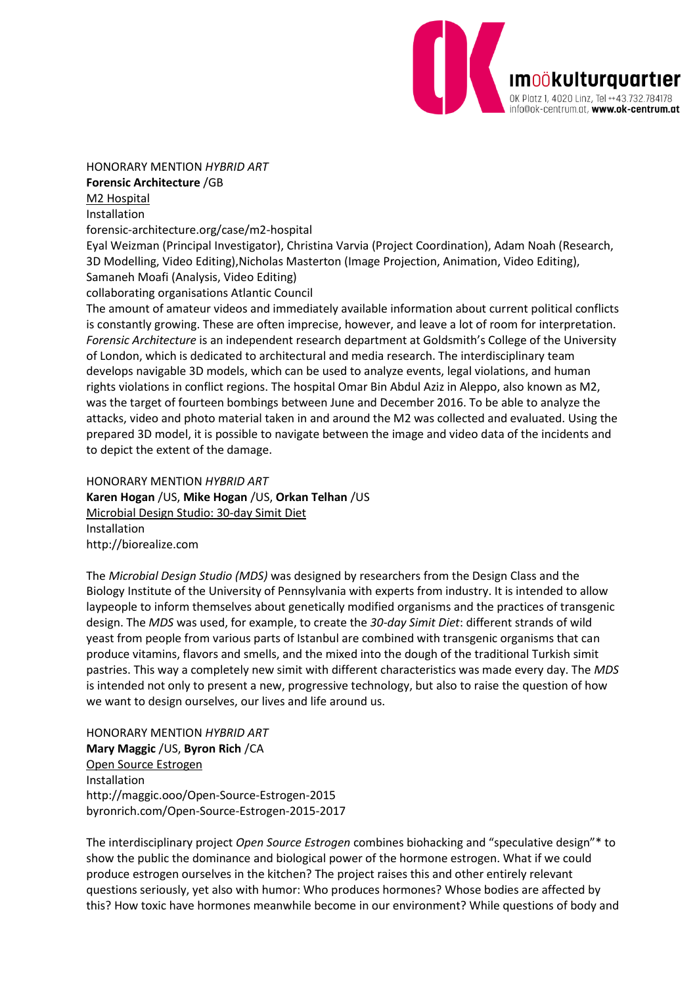

# HONORARY MENTION *HYBRID ART*

**Forensic Architecture** /GB

M2 Hospital

Installation

forensic-architecture.org/case/m2-hospital

Eyal Weizman (Principal Investigator), Christina Varvia (Project Coordination), Adam Noah (Research, 3D Modelling, Video Editing),Nicholas Masterton (Image Projection, Animation, Video Editing), Samaneh Moafi (Analysis, Video Editing)

collaborating organisations Atlantic Council

The amount of amateur videos and immediately available information about current political conflicts is constantly growing. These are often imprecise, however, and leave a lot of room for interpretation. *Forensic Architecture* is an independent research department at Goldsmith's College of the University of London, which is dedicated to architectural and media research. The interdisciplinary team develops navigable 3D models, which can be used to analyze events, legal violations, and human rights violations in conflict regions. The hospital Omar Bin Abdul Aziz in Aleppo, also known as M2, was the target of fourteen bombings between June and December 2016. To be able to analyze the attacks, video and photo material taken in and around the M2 was collected and evaluated. Using the prepared 3D model, it is possible to navigate between the image and video data of the incidents and to depict the extent of the damage.

HONORARY MENTION *HYBRID ART* **Karen Hogan** /US, **Mike Hogan** /US, **Orkan Telhan** /US Microbial Design Studio: 30-day Simit Diet Installation [http://biorealize.com](http://biorealize.com/)

The *Microbial Design Studio (MDS)* was designed by researchers from the Design Class and the Biology Institute of the University of Pennsylvania with experts from industry. It is intended to allow laypeople to inform themselves about genetically modified organisms and the practices of transgenic design. The *MDS* was used, for example, to create the *30-day Simit Diet*: different strands of wild yeast from people from various parts of Istanbul are combined with transgenic organisms that can produce vitamins, flavors and smells, and the mixed into the dough of the traditional Turkish simit pastries. This way a completely new simit with different characteristics was made every day. The *MDS* is intended not only to present a new, progressive technology, but also to raise the question of how we want to design ourselves, our lives and life around us.

HONORARY MENTION *HYBRID ART* **Mary Maggic** /US, **Byron Rich** /CA Open Source Estrogen Installation http://maggic.ooo/Open-Source-Estrogen-2015 byronrich.com/Open-Source-Estrogen-2015-2017

The interdisciplinary project *Open Source Estrogen* combines biohacking and "speculative design"\* to show the public the dominance and biological power of the hormone estrogen. What if we could produce estrogen ourselves in the kitchen? The project raises this and other entirely relevant questions seriously, yet also with humor: Who produces hormones? Whose bodies are affected by this? How toxic have hormones meanwhile become in our environment? While questions of body and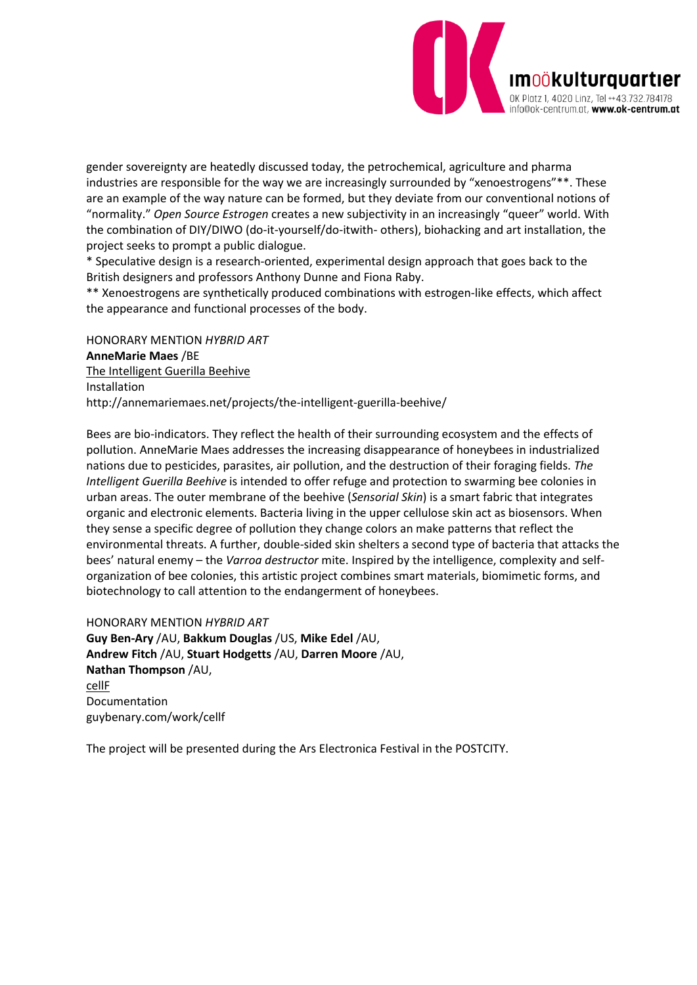

gender sovereignty are heatedly discussed today, the petrochemical, agriculture and pharma industries are responsible for the way we are increasingly surrounded by "xenoestrogens"\*\*. These are an example of the way nature can be formed, but they deviate from our conventional notions of "normality." *Open Source Estrogen* creates a new subjectivity in an increasingly "queer" world. With the combination of DIY/DIWO (do-it-yourself/do-itwith- others), biohacking and art installation, the project seeks to prompt a public dialogue.

\* Speculative design is a research-oriented, experimental design approach that goes back to the British designers and professors Anthony Dunne and Fiona Raby.

\*\* Xenoestrogens are synthetically produced combinations with estrogen-like effects, which affect the appearance and functional processes of the body.

HONORARY MENTION *HYBRID ART* **AnneMarie Maes** /BE The Intelligent Guerilla Beehive Installation http://annemariemaes.net/projects/the-intelligent-guerilla-beehive/

Bees are bio-indicators. They reflect the health of their surrounding ecosystem and the effects of pollution. AnneMarie Maes addresses the increasing disappearance of honeybees in industrialized nations due to pesticides, parasites, air pollution, and the destruction of their foraging fields. *The Intelligent Guerilla Beehive* is intended to offer refuge and protection to swarming bee colonies in urban areas. The outer membrane of the beehive (*Sensorial Skin*) is a smart fabric that integrates organic and electronic elements. Bacteria living in the upper cellulose skin act as biosensors. When they sense a specific degree of pollution they change colors an make patterns that reflect the environmental threats. A further, double-sided skin shelters a second type of bacteria that attacks the bees' natural enemy – the *Varroa destructor* mite. Inspired by the intelligence, complexity and selforganization of bee colonies, this artistic project combines smart materials, biomimetic forms, and biotechnology to call attention to the endangerment of honeybees.

HONORARY MENTION *HYBRID ART*

**Guy Ben-Ary** /AU, **Bakkum Douglas** /US, **Mike Edel** /AU, **Andrew Fitch** /AU, **Stuart Hodgetts** /AU, **Darren Moore** /AU, **Nathan Thompson** /AU, cellF Documentation guybenary.com/work/cellf

The project will be presented during the Ars Electronica Festival in the POSTCITY.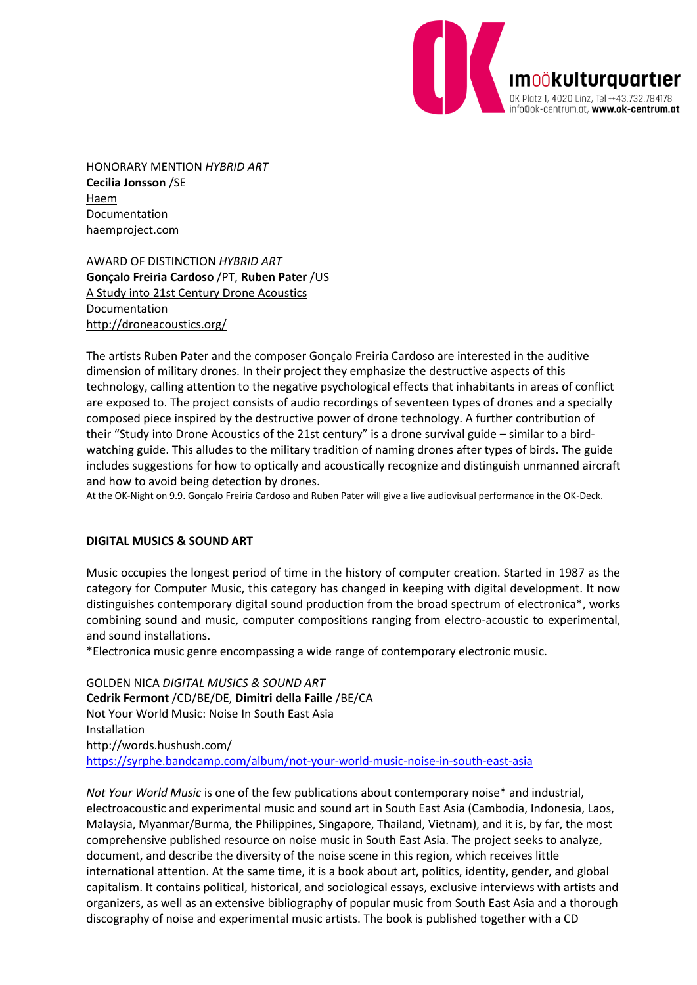

HONORARY MENTION *HYBRID ART* **Cecilia Jonsson** /SE Haem Documentation haemproject.com

AWARD OF DISTINCTION *HYBRID ART*  **Gonçalo Freiria Cardoso** /PT, **Ruben Pater** /US A Study into 21st Century Drone Acoustics Documentation <http://droneacoustics.org/>

The artists Ruben Pater and the composer Gonçalo Freiria Cardoso are interested in the auditive dimension of military drones. In their project they emphasize the destructive aspects of this technology, calling attention to the negative psychological effects that inhabitants in areas of conflict are exposed to. The project consists of audio recordings of seventeen types of drones and a specially composed piece inspired by the destructive power of drone technology. A further contribution of their "Study into Drone Acoustics of the 21st century" is a drone survival guide – similar to a birdwatching guide. This alludes to the military tradition of naming drones after types of birds. The guide includes suggestions for how to optically and acoustically recognize and distinguish unmanned aircraft and how to avoid being detection by drones.

At the OK-Night on 9.9. Gonçalo Freiria Cardoso and Ruben Pater will give a live audiovisual performance in the OK-Deck.

#### **DIGITAL MUSICS & SOUND ART**

Music occupies the longest period of time in the history of computer creation. Started in 1987 as the category for Computer Music, this category has changed in keeping with digital development. It now distinguishes contemporary digital sound production from the broad spectrum of electronica\*, works combining sound and music, computer compositions ranging from electro-acoustic to experimental, and sound installations.

\*Electronica music genre encompassing a wide range of contemporary electronic music.

GOLDEN NICA *DIGITAL MUSICS & SOUND ART* **Cedrik Fermont** /CD/BE/DE, **Dimitri della Faille** /BE/CA Not Your World Music: Noise In South East Asia Installation http://words.hushush.com/ <https://syrphe.bandcamp.com/album/not-your-world-music-noise-in-south-east-asia>

*Not Your World Music* is one of the few publications about contemporary noise\* and industrial, electroacoustic and experimental music and sound art in South East Asia (Cambodia, Indonesia, Laos, Malaysia, Myanmar/Burma, the Philippines, Singapore, Thailand, Vietnam), and it is, by far, the most comprehensive published resource on noise music in South East Asia. The project seeks to analyze, document, and describe the diversity of the noise scene in this region, which receives little international attention. At the same time, it is a book about art, politics, identity, gender, and global capitalism. It contains political, historical, and sociological essays, exclusive interviews with artists and organizers, as well as an extensive bibliography of popular music from South East Asia and a thorough discography of noise and experimental music artists. The book is published together with a CD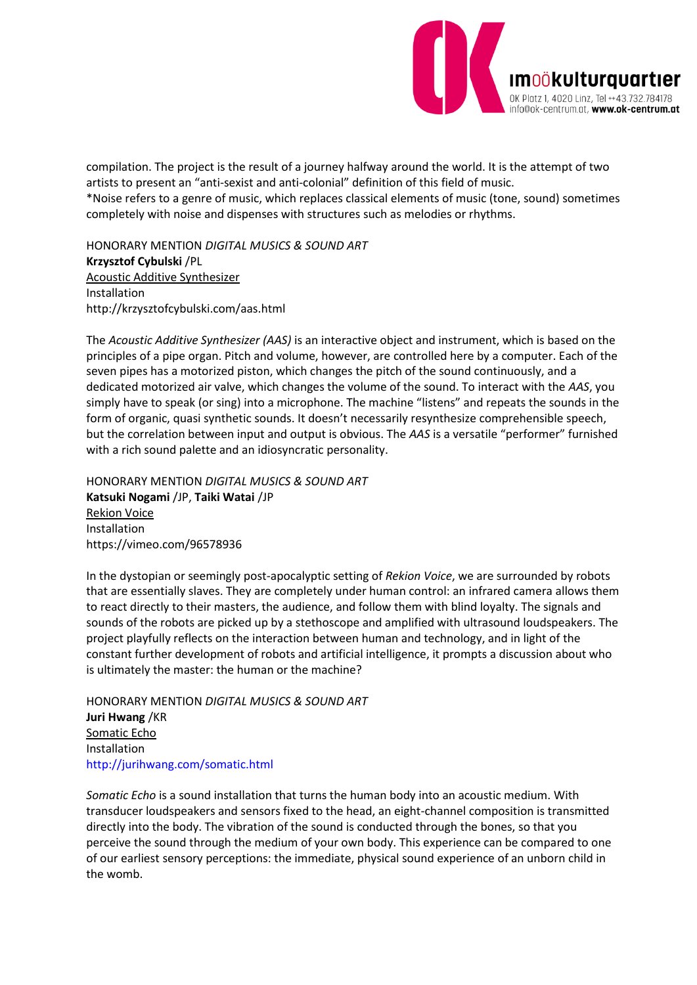

compilation. The project is the result of a journey halfway around the world. It is the attempt of two artists to present an "anti-sexist and anti-colonial" definition of this field of music. \*Noise refers to a genre of music, which replaces classical elements of music (tone, sound) sometimes completely with noise and dispenses with structures such as melodies or rhythms.

HONORARY MENTION *DIGITAL MUSICS & SOUND ART* **Krzysztof Cybulski** /PL Acoustic Additive Synthesizer Installation <http://krzysztofcybulski.com/aas.html>

The *Acoustic Additive Synthesizer (AAS)* is an interactive object and instrument, which is based on the principles of a pipe organ. Pitch and volume, however, are controlled here by a computer. Each of the seven pipes has a motorized piston, which changes the pitch of the sound continuously, and a dedicated motorized air valve, which changes the volume of the sound. To interact with the *AAS*, you simply have to speak (or sing) into a microphone. The machine "listens" and repeats the sounds in the form of organic, quasi synthetic sounds. It doesn't necessarily resynthesize comprehensible speech, but the correlation between input and output is obvious. The *AAS* is a versatile "performer" furnished with a rich sound palette and an idiosyncratic personality.

HONORARY MENTION *DIGITAL MUSICS & SOUND ART* **Katsuki Nogami** /JP, **Taiki Watai** /JP Rekion Voice Installation <https://vimeo.com/96578936>

In the dystopian or seemingly post-apocalyptic setting of *Rekion Voice*, we are surrounded by robots that are essentially slaves. They are completely under human control: an infrared camera allows them to react directly to their masters, the audience, and follow them with blind loyalty. The signals and sounds of the robots are picked up by a stethoscope and amplified with ultrasound loudspeakers. The project playfully reflects on the interaction between human and technology, and in light of the constant further development of robots and artificial intelligence, it prompts a discussion about who is ultimately the master: the human or the machine?

HONORARY MENTION *DIGITAL MUSICS & SOUND ART* **Juri Hwang** /KR Somatic Echo Installation <http://jurihwang.com/somatic.html>

*Somatic Echo* is a sound installation that turns the human body into an acoustic medium. With transducer loudspeakers and sensors fixed to the head, an eight-channel composition is transmitted directly into the body. The vibration of the sound is conducted through the bones, so that you perceive the sound through the medium of your own body. This experience can be compared to one of our earliest sensory perceptions: the immediate, physical sound experience of an unborn child in the womb.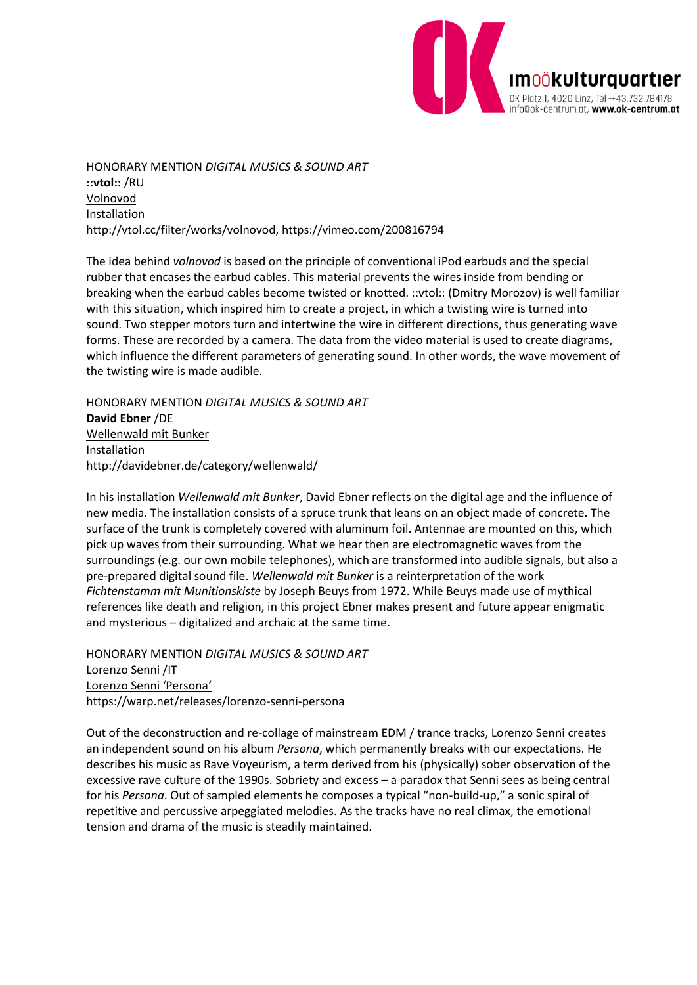

HONORARY MENTION *DIGITAL MUSICS & SOUND ART* **::vtol::** /RU Volnovod Installation http://vtol.cc/filter/works/volnovod[, https://vimeo.com/200816794](https://vimeo.com/200816794)

The idea behind *volnovod* is based on the principle of conventional iPod earbuds and the special rubber that encases the earbud cables. This material prevents the wires inside from bending or breaking when the earbud cables become twisted or knotted. ::vtol:: (Dmitry Morozov) is well familiar with this situation, which inspired him to create a project, in which a twisting wire is turned into sound. Two stepper motors turn and intertwine the wire in different directions, thus generating wave forms. These are recorded by a camera. The data from the video material is used to create diagrams, which influence the different parameters of generating sound. In other words, the wave movement of the twisting wire is made audible.

HONORARY MENTION *DIGITAL MUSICS & SOUND ART* **David Ebner** /DE Wellenwald mit Bunker Installation http://davidebner.de/category/wellenwald/

In his installation *Wellenwald mit Bunker*, David Ebner reflects on the digital age and the influence of new media. The installation consists of a spruce trunk that leans on an object made of concrete. The surface of the trunk is completely covered with aluminum foil. Antennae are mounted on this, which pick up waves from their surrounding. What we hear then are electromagnetic waves from the surroundings (e.g. our own mobile telephones), which are transformed into audible signals, but also a pre-prepared digital sound file. *Wellenwald mit Bunker* is a reinterpretation of the work *Fichtenstamm mit Munitionskiste* by Joseph Beuys from 1972. While Beuys made use of mythical references like death and religion, in this project Ebner makes present and future appear enigmatic and mysterious – digitalized and archaic at the same time.

HONORARY MENTION *DIGITAL MUSICS & SOUND ART*  Lorenzo Senni /IT Lorenzo Senni 'Persona' https://warp.net/releases/lorenzo-senni-persona

Out of the deconstruction and re-collage of mainstream EDM / trance tracks, Lorenzo Senni creates an independent sound on his album *Persona*, which permanently breaks with our expectations. He describes his music as Rave Voyeurism, a term derived from his (physically) sober observation of the excessive rave culture of the 1990s. Sobriety and excess – a paradox that Senni sees as being central for his *Persona*. Out of sampled elements he composes a typical "non-build-up," a sonic spiral of repetitive and percussive arpeggiated melodies. As the tracks have no real climax, the emotional tension and drama of the music is steadily maintained.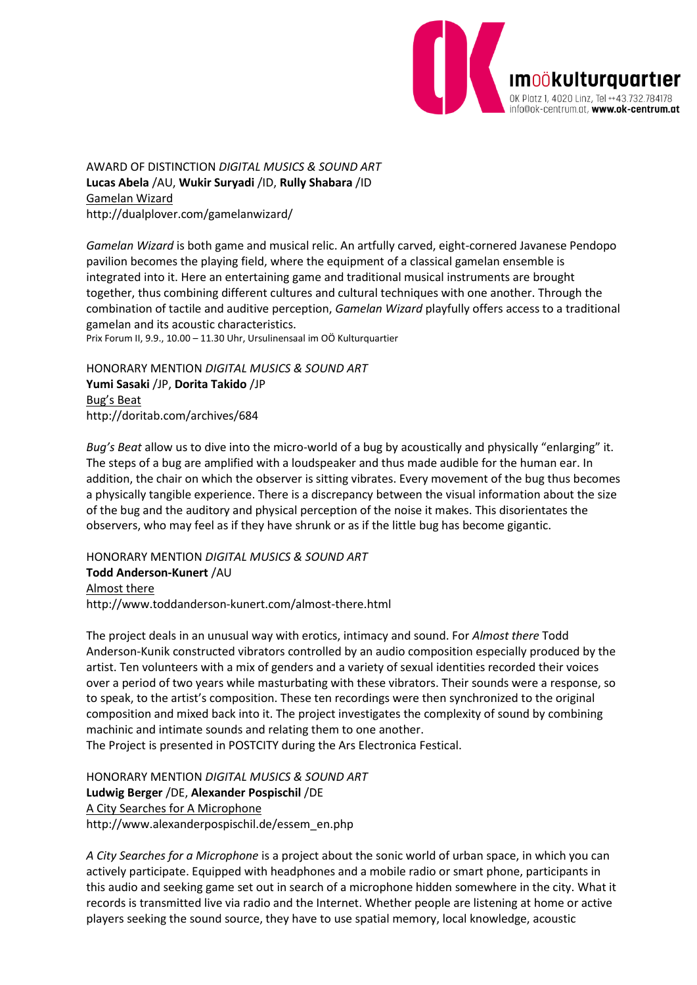

AWARD OF DISTINCTION *DIGITAL MUSICS & SOUND ART* **Lucas Abela** /AU, **Wukir Suryadi** /ID, **Rully Shabara** /ID Gamelan Wizard <http://dualplover.com/gamelanwizard/>

*Gamelan Wizard* is both game and musical relic. An artfully carved, eight-cornered Javanese Pendopo pavilion becomes the playing field, where the equipment of a classical gamelan ensemble is integrated into it. Here an entertaining game and traditional musical instruments are brought together, thus combining different cultures and cultural techniques with one another. Through the combination of tactile and auditive perception, *Gamelan Wizard* playfully offers access to a traditional gamelan and its acoustic characteristics.

Prix Forum II, 9.9., 10.00 – 11.30 Uhr, Ursulinensaal im OÖ Kulturquartier

HONORARY MENTION *DIGITAL MUSICS & SOUND ART* **Yumi Sasaki** /JP, **Dorita Takido** /JP Bug's Beat <http://doritab.com/archives/684>

*Bug's Beat* allow us to dive into the micro-world of a bug by acoustically and physically "enlarging" it. The steps of a bug are amplified with a loudspeaker and thus made audible for the human ear. In addition, the chair on which the observer is sitting vibrates. Every movement of the bug thus becomes a physically tangible experience. There is a discrepancy between the visual information about the size of the bug and the auditory and physical perception of the noise it makes. This disorientates the observers, who may feel as if they have shrunk or as if the little bug has become gigantic.

HONORARY MENTION *DIGITAL MUSICS & SOUND ART* **Todd Anderson-Kunert** /AU Almost there <http://www.toddanderson-kunert.com/almost-there.html>

The project deals in an unusual way with erotics, intimacy and sound. For *Almost there* Todd Anderson-Kunik constructed vibrators controlled by an audio composition especially produced by the artist. Ten volunteers with a mix of genders and a variety of sexual identities recorded their voices over a period of two years while masturbating with these vibrators. Their sounds were a response, so to speak, to the artist's composition. These ten recordings were then synchronized to the original composition and mixed back into it. The project investigates the complexity of sound by combining machinic and intimate sounds and relating them to one another.

The Project is presented in POSTCITY during the Ars Electronica Festical.

HONORARY MENTION *DIGITAL MUSICS & SOUND ART* **Ludwig Berger** /DE, **Alexander Pospischil** /DE A City Searches for A Microphone [http://www.alexanderpospischil.de/essem\\_en.php](http://www.alexanderpospischil.de/essem_en.php)

*A City Searches for a Microphone* is a project about the sonic world of urban space, in which you can actively participate. Equipped with headphones and a mobile radio or smart phone, participants in this audio and seeking game set out in search of a microphone hidden somewhere in the city. What it records is transmitted live via radio and the Internet. Whether people are listening at home or active players seeking the sound source, they have to use spatial memory, local knowledge, acoustic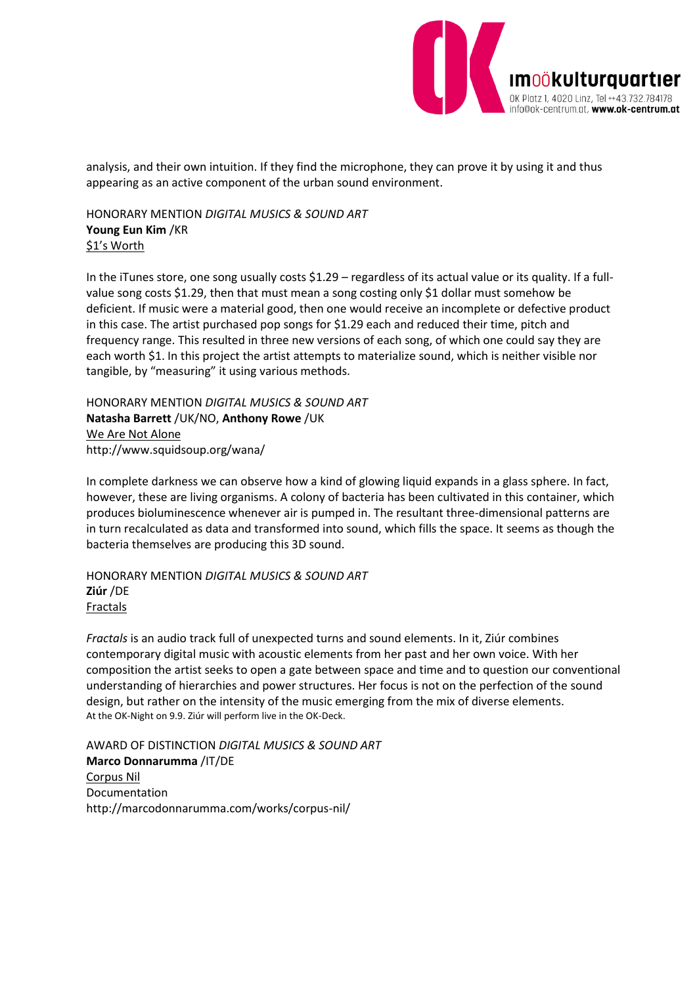

analysis, and their own intuition. If they find the microphone, they can prove it by using it and thus appearing as an active component of the urban sound environment.

HONORARY MENTION *DIGITAL MUSICS & SOUND ART* **Young Eun Kim** /KR \$1's Worth

In the iTunes store, one song usually costs \$1.29 – regardless of its actual value or its quality. If a fullvalue song costs \$1.29, then that must mean a song costing only \$1 dollar must somehow be deficient. If music were a material good, then one would receive an incomplete or defective product in this case. The artist purchased pop songs for \$1.29 each and reduced their time, pitch and frequency range. This resulted in three new versions of each song, of which one could say they are each worth \$1. In this project the artist attempts to materialize sound, which is neither visible nor tangible, by "measuring" it using various methods.

HONORARY MENTION *DIGITAL MUSICS & SOUND ART* **Natasha Barrett** /UK/NO, **Anthony Rowe** /UK We Are Not Alone <http://www.squidsoup.org/wana/>

In complete darkness we can observe how a kind of glowing liquid expands in a glass sphere. In fact, however, these are living organisms. A colony of bacteria has been cultivated in this container, which produces bioluminescence whenever air is pumped in. The resultant three-dimensional patterns are in turn recalculated as data and transformed into sound, which fills the space. It seems as though the bacteria themselves are producing this 3D sound.

HONORARY MENTION *DIGITAL MUSICS & SOUND ART* **Ziúr** /DE Fractals

*Fractals* is an audio track full of unexpected turns and sound elements. In it, Ziúr combines contemporary digital music with acoustic elements from her past and her own voice. With her composition the artist seeks to open a gate between space and time and to question our conventional understanding of hierarchies and power structures. Her focus is not on the perfection of the sound design, but rather on the intensity of the music emerging from the mix of diverse elements. At the OK-Night on 9.9. Ziúr will perform live in the OK-Deck.

AWARD OF DISTINCTION *DIGITAL MUSICS & SOUND ART* **Marco Donnarumma** /IT/DE Corpus Nil Documentation http://marcodonnarumma.com/works/corpus-nil/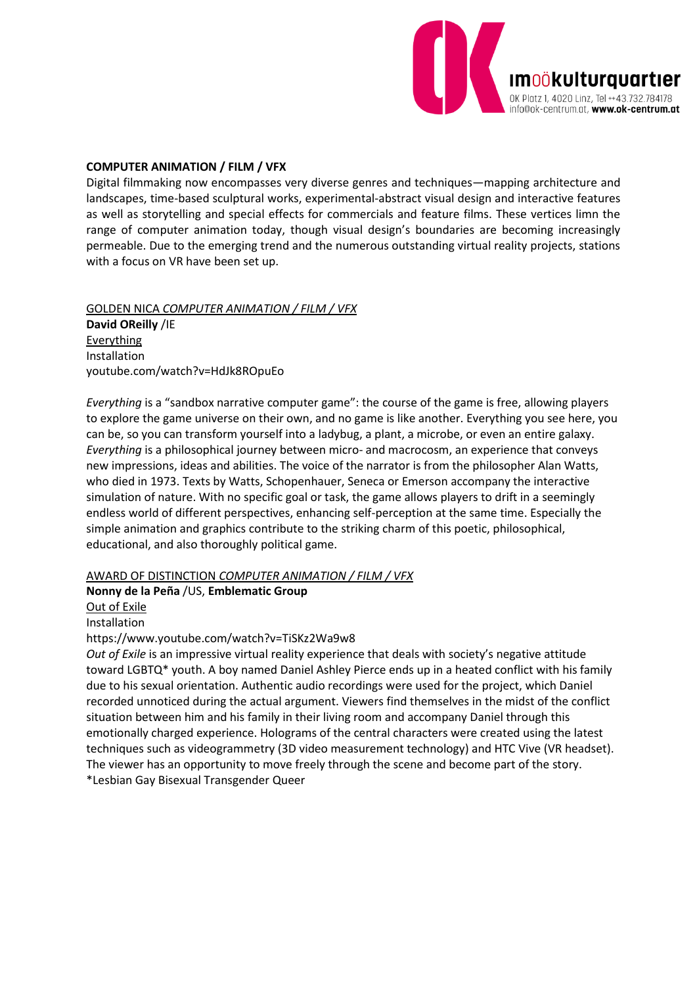

## **COMPUTER ANIMATION / FILM / VFX**

Digital filmmaking now encompasses very diverse genres and techniques—mapping architecture and landscapes, time-based sculptural works, experimental-abstract visual design and interactive features as well as storytelling and special effects for commercials and feature films. These vertices limn the range of computer animation today, though visual design's boundaries are becoming increasingly permeable. Due to the emerging trend and the numerous outstanding virtual reality projects, stations with a focus on VR have been set up.

# GOLDEN NICA *COMPUTER ANIMATION / FILM / VFX* **David OReilly** /IE Everything Installation youtube.com/watch?v=HdJk8ROpuEo

*Everything* is a "sandbox narrative computer game": the course of the game is free, allowing players to explore the game universe on their own, and no game is like another. Everything you see here, you can be, so you can transform yourself into a ladybug, a plant, a microbe, or even an entire galaxy. *Everything* is a philosophical journey between micro- and macrocosm, an experience that conveys new impressions, ideas and abilities. The voice of the narrator is from the philosopher Alan Watts, who died in 1973. Texts by Watts, Schopenhauer, Seneca or Emerson accompany the interactive simulation of nature. With no specific goal or task, the game allows players to drift in a seemingly endless world of different perspectives, enhancing self-perception at the same time. Especially the simple animation and graphics contribute to the striking charm of this poetic, philosophical, educational, and also thoroughly political game.

# AWARD OF DISTINCTION *COMPUTER ANIMATION / FILM / VFX*

### **Nonny de la Peña** /US, **Emblematic Group**

Out of Exile

Installation

### https://www.youtube.com/watch?v=TiSKz2Wa9w8

*Out of Exile* is an impressive virtual reality experience that deals with society's negative attitude toward LGBTQ\* youth. A boy named Daniel Ashley Pierce ends up in a heated conflict with his family due to his sexual orientation. Authentic audio recordings were used for the project, which Daniel recorded unnoticed during the actual argument. Viewers find themselves in the midst of the conflict situation between him and his family in their living room and accompany Daniel through this emotionally charged experience. Holograms of the central characters were created using the latest techniques such as videogrammetry (3D video measurement technology) and HTC Vive (VR headset). The viewer has an opportunity to move freely through the scene and become part of the story. \*Lesbian Gay Bisexual Transgender Queer